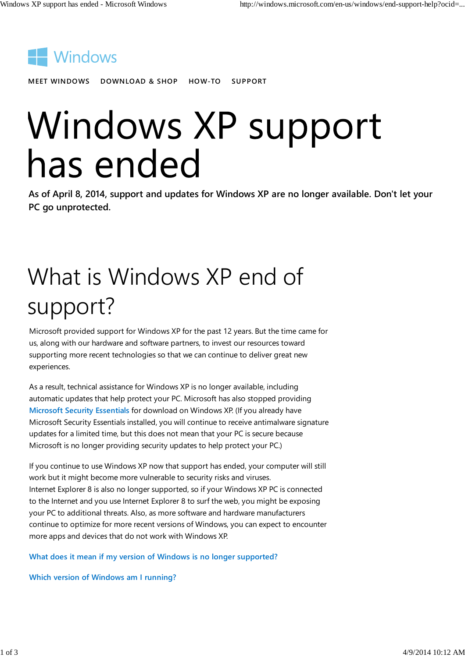

MEET WINDOWS DOWNLOAD & SHOP HOW-TO SUPPORT

# Windows XP support has ended

As of April 8, 2014, support and updates for Windows XP are no longer available. Don't let your PC go unprotected.

## What is Windows XP end of support?

Microsoft provided support for Windows XP for the past 12 years. But the time came for us, along with our hardware and software partners, to invest our resources toward supporting more recent technologies so that we can continue to deliver great new experiences.

As a result, technical assistance for Windows XP is no longer available, including automatic updates that help protect your PC. Microsoft has also stopped providing Microsoft Security Essentials for download on Windows XP. (If you already have Microsoft Security Essentials installed, you will continue to receive antimalware signature updates for a limited time, but this does not mean that your PC is secure because Microsoft is no longer providing security updates to help protect your PC.)

If you continue to use Windows XP now that support has ended, your computer will still work but it might become more vulnerable to security risks and viruses. Internet Explorer 8 is also no longer supported, so if your Windows XP PC is connected to the Internet and you use Internet Explorer 8 to surf the web, you might be exposing your PC to additional threats. Also, as more software and hardware manufacturers continue to optimize for more recent versions of Windows, you can expect to encounter more apps and devices that do not work with Windows XP.

What does it mean if my version of Windows is no longer supported?

Which version of Windows am I running?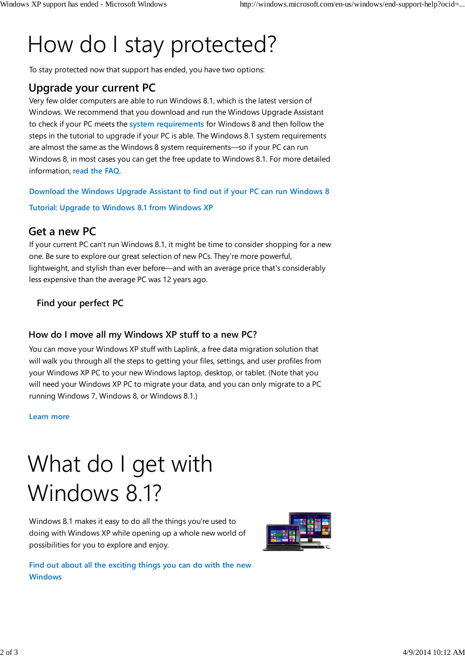### How do I stay protected?

To stay protected now that support has ended, you have two options:

#### Upgrade your current PC

Very few older computers are able to run Windows 8.1, which is the latest version of Windows. We recommend that you download and run the Windows Upgrade Assistant to check if your PC meets the system requirements for Windows 8 and then follow the steps in the tutorial to upgrade if your PC is able. The Windows 8.1 system requirements are almost the same as the Windows 8 system requirements—so if your PC can run Windows 8, in most cases you can get the free update to Windows 8.1. For more detailed information, read the FAQ.

Download the Windows Upgrade Assistant to find out if your PC can run Windows 8

Tutorial: Upgrade to Windows 8.1 from Windows XP

#### Get a new PC

If your current PC can't run Windows 8.1, it might be time to consider shopping for a new one. Be sure to explore our great selection of new PCs. They're more powerful, lightweight, and stylish than ever before—and with an average price that's considerably less expensive than the average PC was 12 years ago.

#### Find your perfect PC

#### How do I move all my Windows XP stuff to a new PC?

You can move your Windows XP stuff with Laplink, a free data migration solution that will walk you through all the steps to getting your files, settings, and user profiles from your Windows XP PC to your new Windows laptop, desktop, or tablet. (Note that you will need your Windows XP PC to migrate your data, and you can only migrate to a PC running Windows 7, Windows 8, or Windows 8.1.)

Learn more

### What do I get with Windows 8.1?

Windows 8.1 makes it easy to do all the things you're used to doing with Windows XP while opening up a whole new world of possibilities for you to explore and enjoy.



Find out about all the exciting things you can do with the new **Windows**